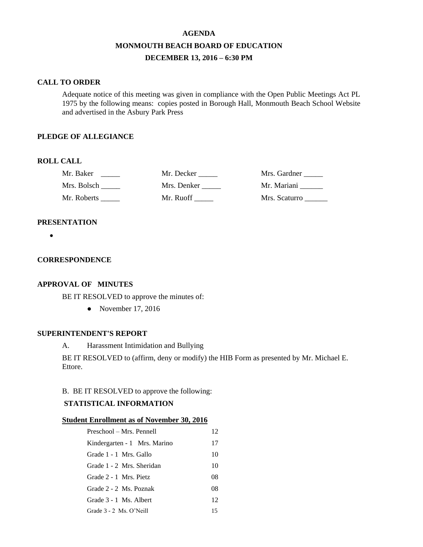# **AGENDA MONMOUTH BEACH BOARD OF EDUCATION DECEMBER 13, 2016 – 6:30 PM**

### **CALL TO ORDER**

Adequate notice of this meeting was given in compliance with the Open Public Meetings Act PL 1975 by the following means: copies posted in Borough Hall, Monmouth Beach School Website and advertised in the Asbury Park Press

### **PLEDGE OF ALLEGIANCE**

# **ROLL CALL**

| Mr. Baker   | Mr. Decker  | Mrs. Gardner  |
|-------------|-------------|---------------|
| Mrs. Bolsch | Mrs. Denker | Mr. Mariani   |
| Mr. Roberts | Mr. Ruoff   | Mrs. Scaturro |

# **PRESENTATION**

 $\bullet$ 

#### **CORRESPONDENCE**

### **APPROVAL OF MINUTES**

BE IT RESOLVED to approve the minutes of:

• November 17, 2016

### **SUPERINTENDENT'S REPORT**

A. Harassment Intimidation and Bullying

BE IT RESOLVED to (affirm, deny or modify) the HIB Form as presented by Mr. Michael E. Ettore.

### B. BE IT RESOLVED to approve the following:

# **STATISTICAL INFORMATION**

#### **Student Enrollment as of November 30, 2016**

| Preschool – Mrs. Pennell     | 12 |
|------------------------------|----|
| Kindergarten - 1 Mrs. Marino | 17 |
| Grade 1 - 1 Mrs. Gallo       | 10 |
| Grade 1 - 2 Mrs. Sheridan    | 10 |
| Grade 2 - 1 Mrs. Pietz       | 08 |
| Grade 2 - 2 Ms. Poznak       | 08 |
| Grade 3 - 1 Ms. Albert       | 12 |
| Grade 3 - 2 Ms. O'Neill      | 15 |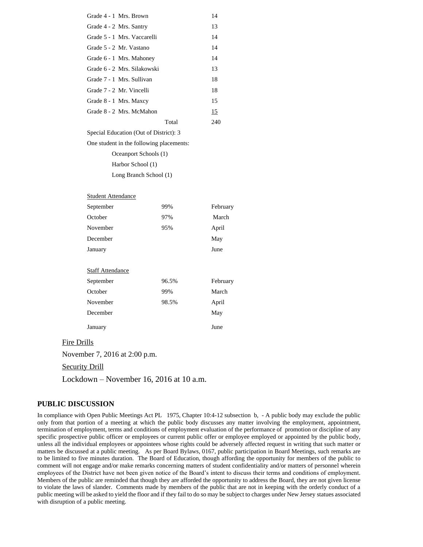| Grade 4 - 1 Mrs. Brown                   |       | 14       |
|------------------------------------------|-------|----------|
| Grade 4 - 2 Mrs. Santry                  |       | 13       |
| Grade 5 - 1 Mrs. Vaccarelli              |       | 14       |
| Grade 5 - 2 Mr. Vastano                  | 14    |          |
| Grade 6 - 1 Mrs. Mahoney                 | 14    |          |
| Grade 6 - 2 Mrs. Silakowski              | 13    |          |
| Grade 7 - 1 Mrs. Sullivan                | 18    |          |
| Grade 7 - 2 Mr. Vincelli                 | 18    |          |
| Grade 8 - 1 Mrs. Maxcy                   |       | 15       |
| Grade 8 - 2 Mrs. McMahon                 |       | 15       |
|                                          | Total | 240      |
| Special Education (Out of District): 3   |       |          |
| One student in the following placements: |       |          |
| Oceanport Schools (1)                    |       |          |
| Harbor School (1)                        |       |          |
| Long Branch School (1)                   |       |          |
|                                          |       |          |
| <b>Student Attendance</b>                |       |          |
| September                                | 99%   | February |
| October                                  | 97%   | March    |
| November                                 | 95%   | April    |
| December                                 |       | May      |
| January                                  |       | June     |
|                                          |       |          |
| <b>Staff Attendance</b>                  |       |          |
| September                                | 96.5% | February |
| October                                  | 99%   | March    |
| November                                 | 98.5% | April    |
| December                                 |       | May      |
| January                                  |       | June     |
| Fire Drills                              |       |          |
|                                          |       |          |

November 7, 2016 at 2:00 p.m.

Security Drill

Lockdown – November 16, 2016 at 10 a.m.

### **PUBLIC DISCUSSION**

In compliance with Open Public Meetings Act PL 1975, Chapter 10:4-12 subsection b, - A public body may exclude the public only from that portion of a meeting at which the public body discusses any matter involving the employment, appointment, termination of employment, terms and conditions of employment evaluation of the performance of promotion or discipline of any specific prospective public officer or employees or current public offer or employee employed or appointed by the public body, unless all the individual employees or appointees whose rights could be adversely affected request in writing that such matter or matters be discussed at a public meeting. As per Board Bylaws, 0167, public participation in Board Meetings, such remarks are to be limited to five minutes duration. The Board of Education, though affording the opportunity for members of the public to comment will not engage and/or make remarks concerning matters of student confidentiality and/or matters of personnel wherein employees of the District have not been given notice of the Board's intent to discuss their terms and conditions of employment. Members of the public are reminded that though they are afforded the opportunity to address the Board, they are not given license to violate the laws of slander. Comments made by members of the public that are not in keeping with the orderly conduct of a public meeting will be asked to yield the floor and if they fail to do so may be subject to charges under New Jersey statues associated with disruption of a public meeting.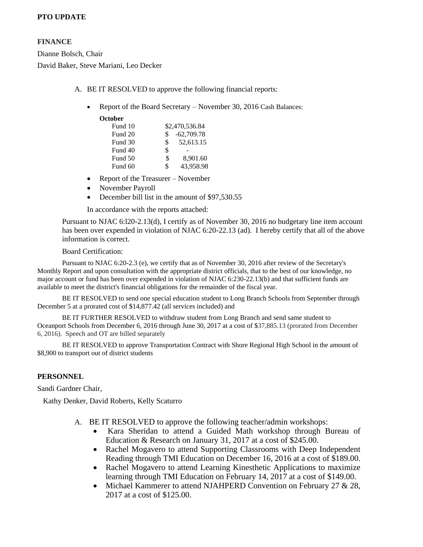# **PTO UPDATE**

### **FINANCE**

Dianne Bolsch, Chair David Baker, Steve Mariani, Leo Decker

- A. BE IT RESOLVED to approve the following financial reports:
	- Report of the Board Secretary November 30, 2016 Cash Balances:

**October**

| Fund 10 |     | \$2,470,536.84 |
|---------|-----|----------------|
| Fund 20 | S   | $-62,709.78$   |
| Fund 30 | \$. | 52,613.15      |
| Fund 40 | \$  |                |
| Fund 50 | \$  | 8.901.60       |
| Fund 60 | \$  | 43,958.98      |

- Report of the Treasurer November
- November Payroll
- December bill list in the amount of \$97,530.55

In accordance with the reports attached:

Pursuant to NJAC 6:l20-2.13(d), I certify as of November 30, 2016 no budgetary line item account has been over expended in violation of NJAC 6:20-22.13 (ad). I hereby certify that all of the above information is correct.

### Board Certification:

Pursuant to NJAC 6:20-2.3 (e), we certify that as of November 30, 2016 after review of the Secretary's Monthly Report and upon consultation with the appropriate district officials, that to the best of our knowledge, no major account or fund has been over expended in violation of NJAC 6:230-22.13(b) and that sufficient funds are available to meet the district's financial obligations for the remainder of the fiscal year.

BE IT RESOLVED to send one special education student to Long Branch Schools from September through December 5 at a prorated cost of \$14,877.42 (all services included) and

BE IT FURTHER RESOLVED to withdraw student from Long Branch and send same student to Oceanport Schools from December 6, 2016 through June 30, 2017 at a cost of \$37,885.13 (prorated from December 6, 2016). Speech and OT are billed separately

BE IT RESOLVED to approve Transportation Contract with Shore Regional High School in the amount of \$8,900 to transport out of district students

# **PERSONNEL**

Sandi Gardner Chair,

Kathy Denker, David Roberts, Kelly Scaturro

- A. BE IT RESOLVED to approve the following teacher/admin workshops:
	- Kara Sheridan to attend a Guided Math workshop through Bureau of Education & Research on January 31, 2017 at a cost of \$245.00.
	- Rachel Mogavero to attend Supporting Classrooms with Deep Independent Reading through TMI Education on December 16, 2016 at a cost of \$189.00.
	- Rachel Mogavero to attend Learning Kinesthetic Applications to maximize learning through TMI Education on February 14, 2017 at a cost of \$149.00.
	- Michael Kammerer to attend NJAHPERD Convention on February 27 & 28, 2017 at a cost of \$125.00.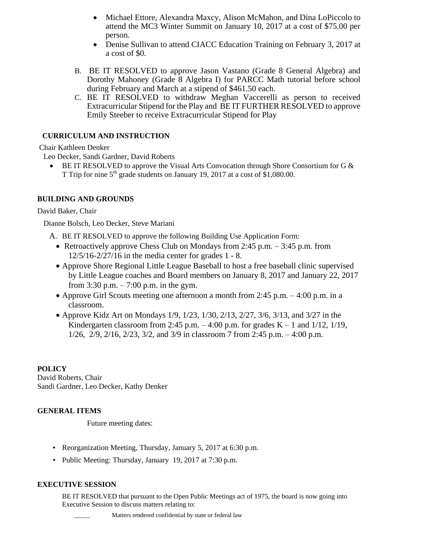- Michael Ettore, Alexandra Maxcy, Alison McMahon, and Dina LoPiccolo to attend the MC3 Winter Summit on January 10, 2017 at a cost of \$75.00 per person.
- Denise Sullivan to attend CIACC Education Training on February 3, 2017 at a cost of \$0.
- B. BE IT RESOLVED to approve Jason Vastano (Grade 8 General Algebra) and Dorothy Mahoney (Grade 8 Algebra I) for PARCC Math tutorial before school during February and March at a stipend of \$461.50 each.
- C. BE IT RESOLVED to withdraw Meghan Vaccerelli as person to received Extracurricular Stipend for the Play and BE IT FURTHER RESOLVED to approve Emily Steeber to receive Extracurricular Stipend for Play

## **CURRICULUM AND INSTRUCTION**

Chair Kathleen Denker

Leo Decker, Sandi Gardner, David Roberts

BE IT RESOLVED to approve the Visual Arts Convocation through Shore Consortium for G & T Trip for nine  $5<sup>th</sup>$  grade students on January 19, 2017 at a cost of \$1,080.00.

### **BUILDING AND GROUNDS**

### David Baker, Chair

Dianne Bolsch, Leo Decker, Steve Mariani

- A. BE IT RESOLVED to approve the following Building Use Application Form:
	- Retroactively approve Chess Club on Mondays from 2:45 p.m.  $-3:45$  p.m. from 12/5/16-2/27/16 in the media center for grades 1 - 8.
	- Approve Shore Regional Little League Baseball to host a free baseball clinic supervised by Little League coaches and Board members on January 8, 2017 and January 22, 2017 from  $3:30$  p.m.  $-7:00$  p.m. in the gym.
	- Approve Girl Scouts meeting one afternoon a month from 2:45 p.m.  $-4:00$  p.m. in a classroom.
	- Approve Kidz Art on Mondays 1/9, 1/23, 1/30, 2/13, 2/27, 3/6, 3/13, and 3/27 in the Kindergarten classroom from 2:45 p.m.  $-4:00$  p.m. for grades K  $-1$  and  $1/12$ ,  $1/19$ , 1/26, 2/9, 2/16, 2/23, 3/2, and 3/9 in classroom 7 from 2:45 p.m. – 4:00 p.m.

# **POLICY**

David Roberts, Chair Sandi Gardner, Leo Decker, Kathy Denker

# **GENERAL ITEMS**

Future meeting dates:

- Reorganization Meeting, Thursday, January 5, 2017 at 6:30 p.m.
- Public Meeting: Thursday, January 19, 2017 at 7:30 p.m.

# **EXECUTIVE SESSION**

BE IT RESOLVED that pursuant to the Open Public Meetings act of 1975, the board is now going into Executive Session to discuss matters relating to: